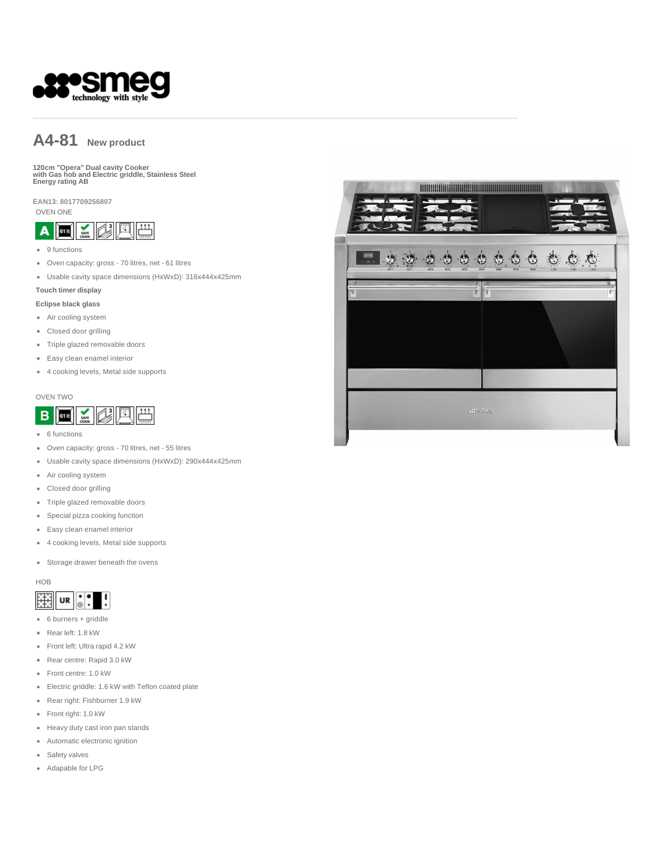

# **A4-81 New product**

**120cm "Opera" Dual cavity Cooker with Gas hob and Electric griddle, Stainless Steel Energy rating AB** 

**EAN13: 8017709256807**

OVEN ONE



- 9 functions
- Oven capacity: gross 70 litres, net 61 litres
- Usable cavity space dimensions (HxWxD): 316x444x425mm

#### **Touch timer display**

#### **Eclipse black glass**

- Air cooling system
- Closed door grilling
- Triple glazed removable doors
- Easy clean enamel interior
- 4 cooking levels, Metal side supports

#### OVEN TWO



- 6 functions
- Oven capacity: gross 70 litres, net 55 litres
- Usable cavity space dimensions (HxWxD): 290x444x425mm
- Air cooling system
- Closed door grilling
- Triple glazed removable doors
- Special pizza cooking function
- Easy clean enamel interior
- 4 cooking levels, Metal side supports
- Storage drawer beneath the ovens

#### HOB

#### $\ddot{\bullet}$ 賱 UR

- 6 burners + griddle
- Rear left: 1.8 kW
- Front left: Ultra rapid 4.2 kW
- Rear centre: Rapid 3.0 kW
- Front centre: 1.0 kW
- Electric griddle: 1.6 kW with Teflon coated plate
- Rear right: Fishburner 1.9 kW
- Front right: 1.0 kW
- Heavy duty cast iron pan stands
- Automatic electronic ignition
- **Safety valves**
- Adapable for LPG

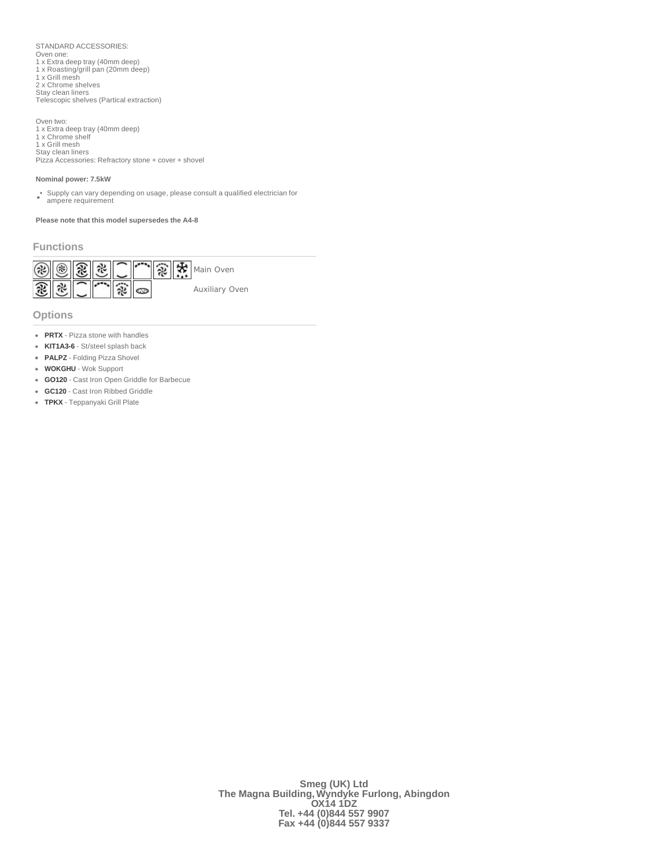STANDARD ACCESSORIES: Oven one: 1 x Extra deep tray (40mm deep) 1 x Roasting/grill pan (20mm deep) 1 x Grill mesh 2 x Chrome shelves Stay clean liners Telescopic shelves (Partical extraction)

Oven two: 1 x Extra deep tray (40mm deep) 1 x Chrome shelf 1 x Grill mesh

Stay clean liners Pizza Accessories: Refractory stone + cover + shovel

#### **Nominal power: 7.5kW**

• Supply can vary depending on usage, please consult a qualified electrician for ampere requirement

**Please note that this model supersedes the A4-8**

# **Functions**



**Options**

- **PRTX** Pizza stone with handles
- **KIT1A3-6** St/steel splash back
- **PALPZ** Folding Pizza Shovel
- **WOKGHU** Wok Support
- **GO120** Cast Iron Open Griddle for Barbecue
- **GC120** Cast Iron Ribbed Griddle
- **TPKX** Teppanyaki Grill Plate

**Smeg (UK) Ltd The Magna Building, Wyndyke Furlong, Abingdon OX14 1DZ Tel. +44 (0)844 557 9907 Fax +44 (0)844 557 9337**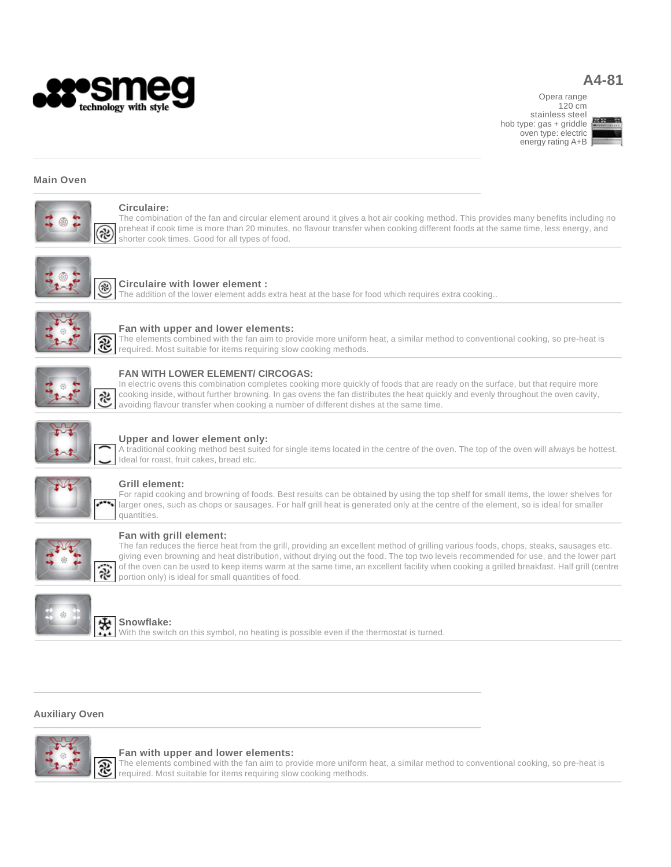

# **A4-81**

Opera range 120 cm stainless steel hob type: gas + griddle oven type: electric energy rating A+B



## **Main Oven**



# **Circulaire:**

The combination of the fan and circular element around it gives a hot air cooking method. This provides many benefits including no preheat if cook time is more than 20 minutes, no flavour transfer when cooking different foods at the same time, less energy, and shorter cook times. Good for all types of food.



## **Circulaire with lower element :**

The addition of the lower element adds extra heat at the base for food which requires extra cooking..



# **Fan with upper and lower elements:**

The elements combined with the fan aim to provide more uniform heat, a similar method to conventional cooking, so pre-heat is required. Most suitable for items requiring slow cooking methods.



## **FAN WITH LOWER ELEMENT/ CIRCOGAS:**

In electric ovens this combination completes cooking more quickly of foods that are ready on the surface, but that require more cooking inside, without further browning. In gas ovens the fan distributes the heat quickly and evenly throughout the oven cavity, avoiding flavour transfer when cooking a number of different dishes at the same time.



#### **Upper and lower element only:**

A traditional cooking method best suited for single items located in the centre of the oven. The top of the oven will always be hottest. Ideal for roast, fruit cakes, bread etc.



## **Grill element:**

For rapid cooking and browning of foods. Best results can be obtained by using the top shelf for small items, the lower shelves for larger ones, such as chops or sausages. For half grill heat is generated only at the centre of the element, so is ideal for smaller quantities.



## **Fan with grill element:**

The fan reduces the fierce heat from the grill, providing an excellent method of grilling various foods, chops, steaks, sausages etc. giving even browning and heat distribution, without drying out the food. The top two levels recommended for use, and the lower part of the oven can be used to keep items warm at the same time, an excellent facility when cooking a grilled breakfast. Half grill (centre portion only) is ideal for small quantities of food.



#### **Snowflake:**

With the switch on this symbol, no heating is possible even if the thermostat is turned.

# **Auxiliary Oven**



#### **Fan with upper and lower elements:**

The elements combined with the fan aim to provide more uniform heat, a similar method to conventional cooking, so pre-heat is required. Most suitable for items requiring slow cooking methods.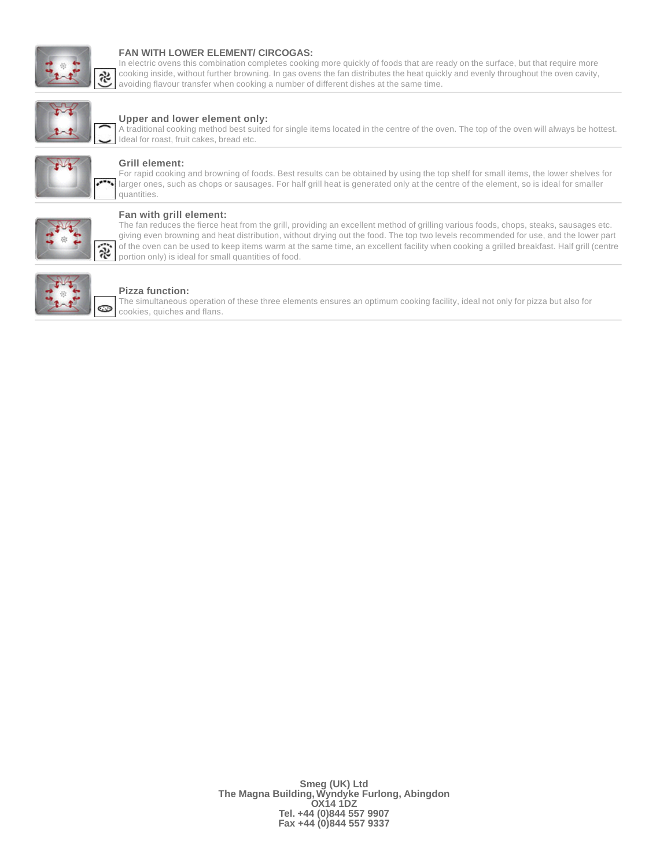

#### **FAN WITH LOWER ELEMENT/ CIRCOGAS:**

In electric ovens this combination completes cooking more quickly of foods that are ready on the surface, but that require more cooking inside, without further browning. In gas ovens the fan distributes the heat quickly and evenly throughout the oven cavity, avoiding flavour transfer when cooking a number of different dishes at the same time.



## **Upper and lower element only:**

A traditional cooking method best suited for single items located in the centre of the oven. The top of the oven will always be hottest. Ideal for roast, fruit cakes, bread etc.



#### **Grill element:**

For rapid cooking and browning of foods. Best results can be obtained by using the top shelf for small items, the lower shelves for larger ones, such as chops or sausages. For half grill heat is generated only at the centre of the element, so is ideal for smaller quantities.



#### **Fan with grill element:**

The fan reduces the fierce heat from the grill, providing an excellent method of grilling various foods, chops, steaks, sausages etc. giving even browning and heat distribution, without drying out the food. The top two levels recommended for use, and the lower part of the oven can be used to keep items warm at the same time, an excellent facility when cooking a grilled breakfast. Half grill (centre portion only) is ideal for small quantities of food.



#### **Pizza function:**

The simultaneous operation of these three elements ensures an optimum cooking facility, ideal not only for pizza but also for cookies, quiches and flans.

> **Smeg (UK) Ltd The Magna Building, Wyndyke Furlong, Abingdon OX14 1DZ Tel. +44 (0)844 557 9907 Fax +44 (0)844 557 9337**